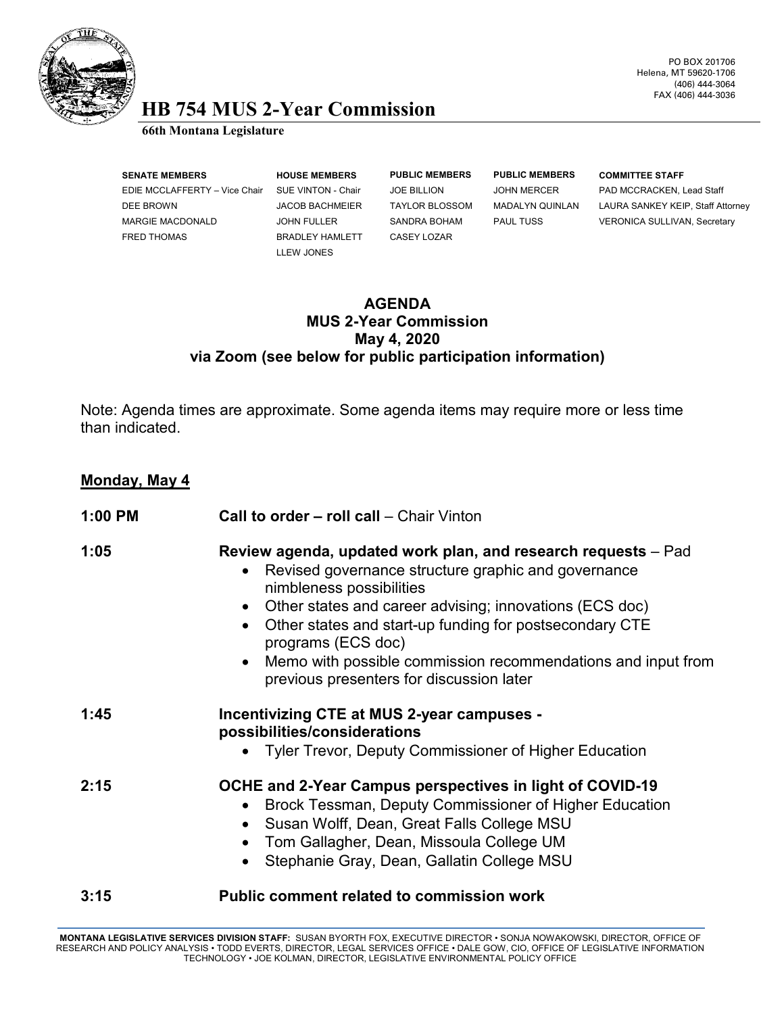

#### PO BOX 201706 Helena, MT 59620-1706 (406) 444-3064 FAX (406) 444-3036

# **HB 754 MUS 2-Year Commission 66th Montana Legislature**

| <b>SENATE MEMBERS</b> |                               | <b>HOUSE MEMBERS</b>   | <b>PUBLIC MEMBERS</b> | <b>PUBLIC MEMBERS</b>  | <b>COMMITTEE STAFF</b>              |
|-----------------------|-------------------------------|------------------------|-----------------------|------------------------|-------------------------------------|
|                       | EDIE MCCLAFFERTY - Vice Chair | SUE VINTON - Chair     | <b>JOE BILLION</b>    | <b>JOHN MERCER</b>     | PAD MCCRACKEN, Lead Staff           |
| DEE BROWN             |                               | <b>JACOB BACHMEIER</b> | <b>TAYLOR BLOSSOM</b> | <b>MADALYN QUINLAN</b> | LAURA SANKEY KEIP, Staff Attorney   |
| MARGIE MACDONALD      |                               | <b>JOHN FULLER</b>     | SANDRA BOHAM          | <b>PAUL TUSS</b>       | <b>VERONICA SULLIVAN, Secretary</b> |
| <b>FRED THOMAS</b>    |                               | <b>BRADLEY HAMLETT</b> | CASEY LOZAR           |                        |                                     |
|                       |                               | LLEW JONES             |                       |                        |                                     |
|                       |                               |                        |                       |                        |                                     |

### **AGENDA MUS 2-Year Commission May 4, 2020 via Zoom (see below for public participation information)**

Note: Agenda times are approximate. Some agenda items may require more or less time than indicated.

## **Monday, May 4**

| $1:00$ PM | Call to order - roll call - Chair Vinton                                                                                                                                                                                                                                                                                                                                                                                                                     |  |  |  |
|-----------|--------------------------------------------------------------------------------------------------------------------------------------------------------------------------------------------------------------------------------------------------------------------------------------------------------------------------------------------------------------------------------------------------------------------------------------------------------------|--|--|--|
| 1:05      | Review agenda, updated work plan, and research requests – Pad<br>Revised governance structure graphic and governance<br>$\bullet$<br>nimbleness possibilities<br>Other states and career advising; innovations (ECS doc)<br>$\bullet$<br>Other states and start-up funding for postsecondary CTE<br>$\bullet$<br>programs (ECS doc)<br>Memo with possible commission recommendations and input from<br>$\bullet$<br>previous presenters for discussion later |  |  |  |
| 1:45      | <b>Incentivizing CTE at MUS 2-year campuses -</b><br>possibilities/considerations<br>• Tyler Trevor, Deputy Commissioner of Higher Education                                                                                                                                                                                                                                                                                                                 |  |  |  |
| 2:15      | OCHE and 2-Year Campus perspectives in light of COVID-19<br>Brock Tessman, Deputy Commissioner of Higher Education<br>$\bullet$<br>Susan Wolff, Dean, Great Falls College MSU<br>$\bullet$<br>Tom Gallagher, Dean, Missoula College UM<br>$\bullet$<br>Stephanie Gray, Dean, Gallatin College MSU                                                                                                                                                            |  |  |  |
| 3:15      | <b>Public comment related to commission work</b>                                                                                                                                                                                                                                                                                                                                                                                                             |  |  |  |

MONTANA LEGISLATIVE SERVICES DIVISION STAFF: SUSAN BYORTH FOX, EXECUTIVE DIRECTOR • SONJA NOWAKOWSKI, DIRECTOR, OFFICE OF<br>RESEARCH AND POLICY ANALYSIS • TODD EVERTS, DIRECTOR, LEGAL SERVICES OFFICE • DALE GOW, CIO, OFFICE TECHNOLOGY • JOE KOLMAN, DIRECTOR, LEGISLATIVE ENVIRONMENTAL POLICY OFFICE